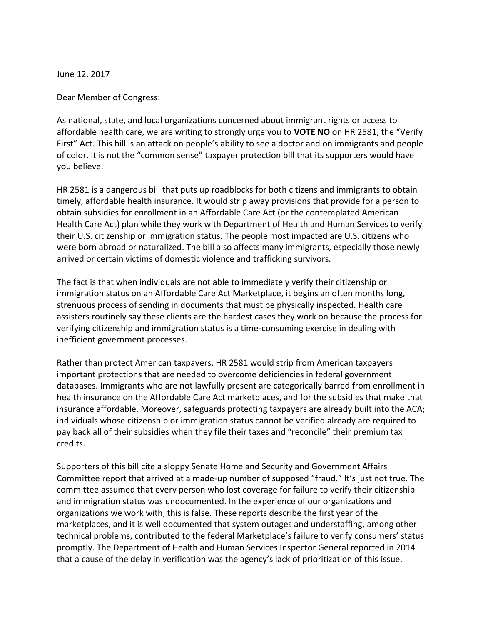June 12, 2017

Dear Member of Congress:

As national, state, and local organizations concerned about immigrant rights or access to affordable health care, we are writing to strongly urge you to **VOTE NO** on HR 2581, the "Verify First" Act. This bill is an attack on people's ability to see a doctor and on immigrants and people of color. It is not the "common sense" taxpayer protection bill that its supporters would have you believe.

HR 2581 is a dangerous bill that puts up roadblocks for both citizens and immigrants to obtain timely, affordable health insurance. It would strip away provisions that provide for a person to obtain subsidies for enrollment in an Affordable Care Act (or the contemplated American Health Care Act) plan while they work with Department of Health and Human Services to verify their U.S. citizenship or immigration status. The people most impacted are U.S. citizens who were born abroad or naturalized. The bill also affects many immigrants, especially those newly arrived or certain victims of domestic violence and trafficking survivors.

The fact is that when individuals are not able to immediately verify their citizenship or immigration status on an Affordable Care Act Marketplace, it begins an often months long, strenuous process of sending in documents that must be physically inspected. Health care assisters routinely say these clients are the hardest cases they work on because the process for verifying citizenship and immigration status is a time-consuming exercise in dealing with inefficient government processes.

Rather than protect American taxpayers, HR 2581 would strip from American taxpayers important protections that are needed to overcome deficiencies in federal government databases. Immigrants who are not lawfully present are categorically barred from enrollment in health insurance on the Affordable Care Act marketplaces, and for the subsidies that make that insurance affordable. Moreover, safeguards protecting taxpayers are already built into the ACA; individuals whose citizenship or immigration status cannot be verified already are required to pay back all of their subsidies when they file their taxes and "reconcile" their premium tax credits.

Supporters of this bill cite a sloppy Senate Homeland Security and Government Affairs Committee report that arrived at a made-up number of supposed "fraud." It's just not true. The committee assumed that every person who lost coverage for failure to verify their citizenship and immigration status was undocumented. In the experience of our organizations and organizations we work with, this is false. These reports describe the first year of the marketplaces, and it is well documented that system outages and understaffing, among other technical problems, contributed to the federal Marketplace's failure to verify consumers' status promptly. The Department of Health and Human Services Inspector General reported in 2014 that a cause of the delay in verification was the agency's lack of prioritization of this issue.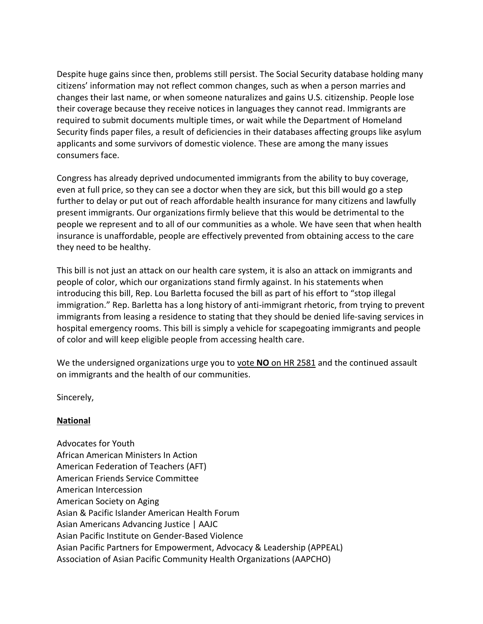Despite huge gains since then, problems still persist. The Social Security database holding many citizens' information may not reflect common changes, such as when a person marries and changes their last name, or when someone naturalizes and gains U.S. citizenship. People lose their coverage because they receive notices in languages they cannot read. Immigrants are required to submit documents multiple times, or wait while the Department of Homeland Security finds paper files, a result of deficiencies in their databases affecting groups like asylum applicants and some survivors of domestic violence. These are among the many issues consumers face.

Congress has already deprived undocumented immigrants from the ability to buy coverage, even at full price, so they can see a doctor when they are sick, but this bill would go a step further to delay or put out of reach affordable health insurance for many citizens and lawfully present immigrants. Our organizations firmly believe that this would be detrimental to the people we represent and to all of our communities as a whole. We have seen that when health insurance is unaffordable, people are effectively prevented from obtaining access to the care they need to be healthy.

This bill is not just an attack on our health care system, it is also an attack on immigrants and people of color, which our organizations stand firmly against. In his statements when introducing this bill, Rep. Lou Barletta focused the bill as part of his effort to "stop illegal immigration." Rep. Barletta has a long history of anti-immigrant rhetoric, from trying to prevent immigrants from leasing a residence to stating that they should be denied life-saving services in hospital emergency rooms. This bill is simply a vehicle for scapegoating immigrants and people of color and will keep eligible people from accessing health care.

We the undersigned organizations urge you to vote **NO** on HR 2581 and the continued assault on immigrants and the health of our communities.

Sincerely,

## **National**

Advocates for Youth African American Ministers In Action American Federation of Teachers (AFT) American Friends Service Committee American Intercession American Society on Aging Asian & Pacific Islander American Health Forum Asian Americans Advancing Justice | AAJC Asian Pacific Institute on Gender-Based Violence Asian Pacific Partners for Empowerment, Advocacy & Leadership (APPEAL) Association of Asian Pacific Community Health Organizations (AAPCHO)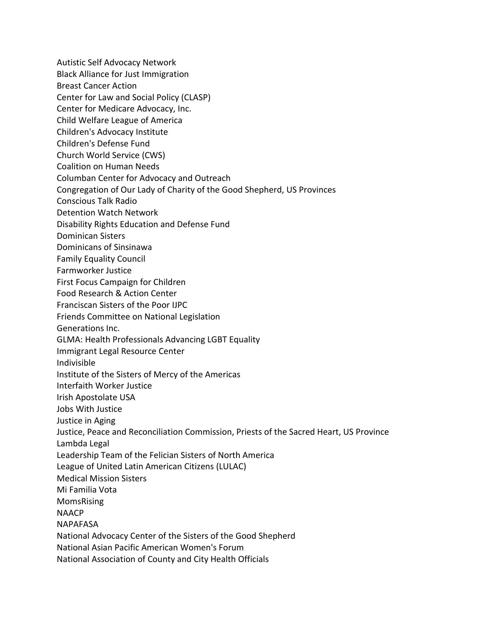Autistic Self Advocacy Network Black Alliance for Just Immigration Breast Cancer Action Center for Law and Social Policy (CLASP) Center for Medicare Advocacy, Inc. Child Welfare League of America Children's Advocacy Institute Children's Defense Fund Church World Service (CWS) Coalition on Human Needs Columban Center for Advocacy and Outreach Congregation of Our Lady of Charity of the Good Shepherd, US Provinces Conscious Talk Radio Detention Watch Network Disability Rights Education and Defense Fund Dominican Sisters Dominicans of Sinsinawa Family Equality Council Farmworker Justice First Focus Campaign for Children Food Research & Action Center Franciscan Sisters of the Poor IJPC Friends Committee on National Legislation Generations Inc. GLMA: Health Professionals Advancing LGBT Equality Immigrant Legal Resource Center Indivisible Institute of the Sisters of Mercy of the Americas Interfaith Worker Justice Irish Apostolate USA Jobs With Justice Justice in Aging Justice, Peace and Reconciliation Commission, Priests of the Sacred Heart, US Province Lambda Legal Leadership Team of the Felician Sisters of North America League of United Latin American Citizens (LULAC) Medical Mission Sisters Mi Familia Vota MomsRising NAACP NAPAFASA National Advocacy Center of the Sisters of the Good Shepherd National Asian Pacific American Women's Forum National Association of County and City Health Officials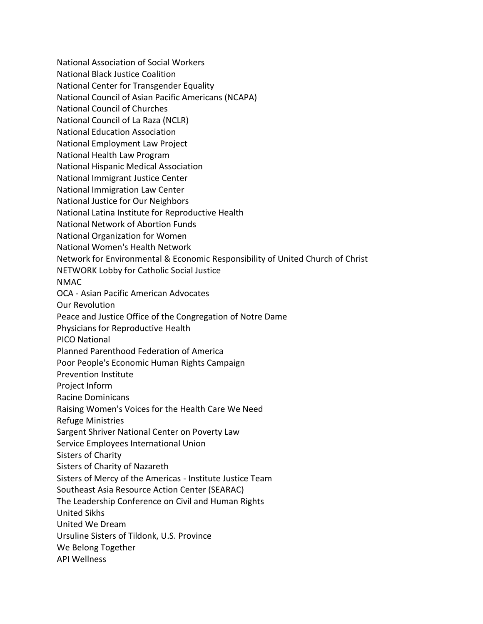National Association of Social Workers National Black Justice Coalition National Center for Transgender Equality National Council of Asian Pacific Americans (NCAPA) National Council of Churches National Council of La Raza (NCLR) National Education Association National Employment Law Project National Health Law Program National Hispanic Medical Association National Immigrant Justice Center National Immigration Law Center National Justice for Our Neighbors National Latina Institute for Reproductive Health National Network of Abortion Funds National Organization for Women National Women's Health Network Network for Environmental & Economic Responsibility of United Church of Christ NETWORK Lobby for Catholic Social Justice NMAC OCA - Asian Pacific American Advocates Our Revolution Peace and Justice Office of the Congregation of Notre Dame Physicians for Reproductive Health PICO National Planned Parenthood Federation of America Poor People's Economic Human Rights Campaign Prevention Institute Project Inform Racine Dominicans Raising Women's Voices for the Health Care We Need Refuge Ministries Sargent Shriver National Center on Poverty Law Service Employees International Union Sisters of Charity Sisters of Charity of Nazareth Sisters of Mercy of the Americas - Institute Justice Team Southeast Asia Resource Action Center (SEARAC) The Leadership Conference on Civil and Human Rights United Sikhs United We Dream Ursuline Sisters of Tildonk, U.S. Province We Belong Together API Wellness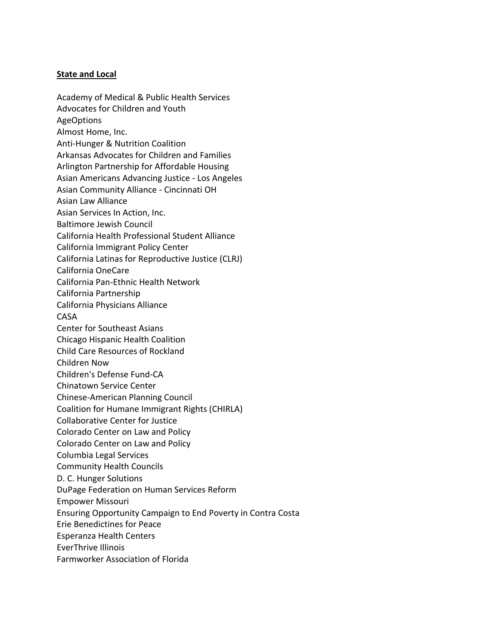## **State and Local**

Academy of Medical & Public Health Services Advocates for Children and Youth AgeOptions Almost Home, Inc. Anti-Hunger & Nutrition Coalition Arkansas Advocates for Children and Families Arlington Partnership for Affordable Housing Asian Americans Advancing Justice - Los Angeles Asian Community Alliance - Cincinnati OH Asian Law Alliance Asian Services In Action, Inc. Baltimore Jewish Council California Health Professional Student Alliance California Immigrant Policy Center California Latinas for Reproductive Justice (CLRJ) California OneCare California Pan-Ethnic Health Network California Partnership California Physicians Alliance CASA Center for Southeast Asians Chicago Hispanic Health Coalition Child Care Resources of Rockland Children Now Children's Defense Fund-CA Chinatown Service Center Chinese-American Planning Council Coalition for Humane Immigrant Rights (CHIRLA) Collaborative Center for Justice Colorado Center on Law and Policy Colorado Center on Law and Policy Columbia Legal Services Community Health Councils D. C. Hunger Solutions DuPage Federation on Human Services Reform Empower Missouri Ensuring Opportunity Campaign to End Poverty in Contra Costa Erie Benedictines for Peace Esperanza Health Centers EverThrive Illinois Farmworker Association of Florida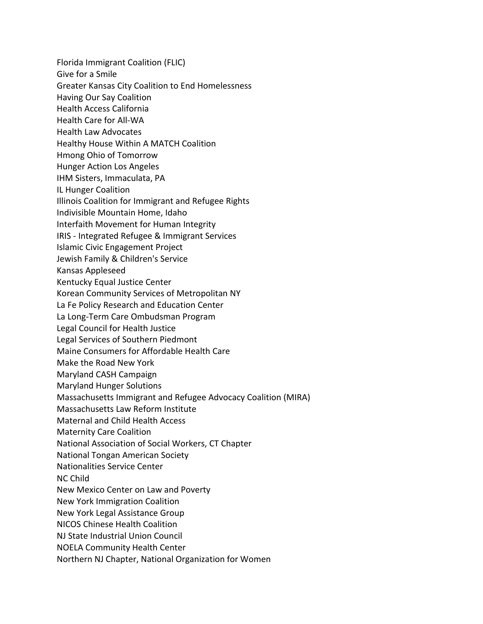Florida Immigrant Coalition (FLIC) Give for a Smile Greater Kansas City Coalition to End Homelessness Having Our Say Coalition Health Access California Health Care for All-WA Health Law Advocates Healthy House Within A MATCH Coalition Hmong Ohio of Tomorrow Hunger Action Los Angeles IHM Sisters, Immaculata, PA IL Hunger Coalition Illinois Coalition for Immigrant and Refugee Rights Indivisible Mountain Home, Idaho Interfaith Movement for Human Integrity IRIS - Integrated Refugee & Immigrant Services Islamic Civic Engagement Project Jewish Family & Children's Service Kansas Appleseed Kentucky Equal Justice Center Korean Community Services of Metropolitan NY La Fe Policy Research and Education Center La Long-Term Care Ombudsman Program Legal Council for Health Justice Legal Services of Southern Piedmont Maine Consumers for Affordable Health Care Make the Road New York Maryland CASH Campaign Maryland Hunger Solutions Massachusetts Immigrant and Refugee Advocacy Coalition (MIRA) Massachusetts Law Reform Institute Maternal and Child Health Access Maternity Care Coalition National Association of Social Workers, CT Chapter National Tongan American Society Nationalities Service Center NC Child New Mexico Center on Law and Poverty New York Immigration Coalition New York Legal Assistance Group NICOS Chinese Health Coalition NJ State Industrial Union Council NOELA Community Health Center Northern NJ Chapter, National Organization for Women